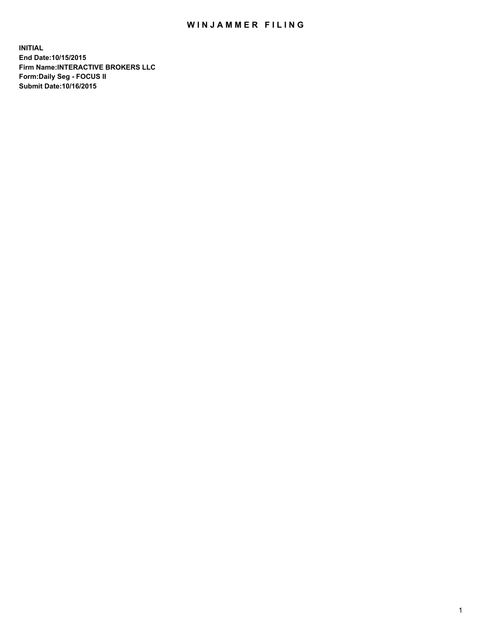## WIN JAMMER FILING

**INITIAL End Date:10/15/2015 Firm Name:INTERACTIVE BROKERS LLC Form:Daily Seg - FOCUS II Submit Date:10/16/2015**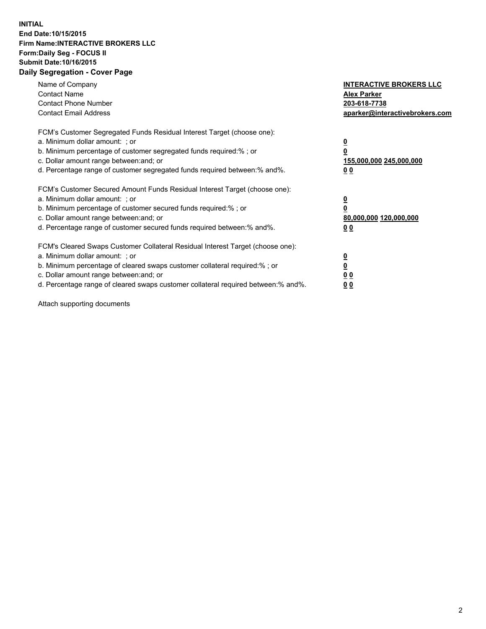## **INITIAL End Date:10/15/2015 Firm Name:INTERACTIVE BROKERS LLC Form:Daily Seg - FOCUS II Submit Date:10/16/2015 Daily Segregation - Cover Page**

| Name of Company<br><b>Contact Name</b><br><b>Contact Phone Number</b><br><b>Contact Email Address</b>                                                                                                                                                                                                                         | <b>INTERACTIVE BROKERS LLC</b><br><b>Alex Parker</b><br>203-618-7738<br>aparker@interactivebrokers.com |
|-------------------------------------------------------------------------------------------------------------------------------------------------------------------------------------------------------------------------------------------------------------------------------------------------------------------------------|--------------------------------------------------------------------------------------------------------|
| FCM's Customer Segregated Funds Residual Interest Target (choose one):<br>a. Minimum dollar amount: ; or<br>b. Minimum percentage of customer segregated funds required:% ; or<br>c. Dollar amount range between: and; or<br>d. Percentage range of customer segregated funds required between:% and%.                        | <u>0</u><br><u>155,000,000 245,000,000</u><br>00                                                       |
| FCM's Customer Secured Amount Funds Residual Interest Target (choose one):<br>a. Minimum dollar amount: ; or<br>b. Minimum percentage of customer secured funds required:% ; or<br>c. Dollar amount range between: and; or<br>d. Percentage range of customer secured funds required between: % and %.                        | $\overline{\mathbf{0}}$<br>80,000,000 120,000,000<br>00                                                |
| FCM's Cleared Swaps Customer Collateral Residual Interest Target (choose one):<br>a. Minimum dollar amount: ; or<br>b. Minimum percentage of cleared swaps customer collateral required:%; or<br>c. Dollar amount range between: and; or<br>d. Percentage range of cleared swaps customer collateral required between:% and%. | <u>0</u><br>0 <sub>0</sub><br><u>00</u>                                                                |

Attach supporting documents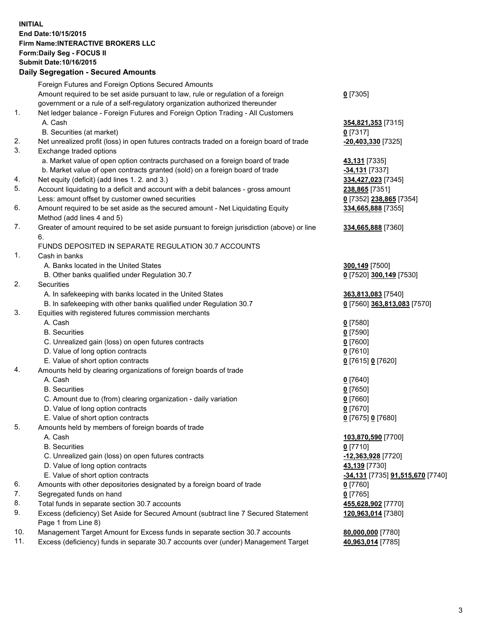## **INITIAL End Date:10/15/2015 Firm Name:INTERACTIVE BROKERS LLC Form:Daily Seg - FOCUS II Submit Date:10/16/2015 Daily Segregation - Secured Amounts**

| Daily Segregation - Secured Announts                                             |                                                                                                                                                                                                                                                                                                                                                                                                                                                                                                                                                                                                                                                                                                                                                                                                                                                                                                                                                                                                                                                                                                                                                                                                                                                                                                                                                                                                                                                                                                                                                                                                                                                                                                                                                                                                                                                                                                                                                                                                                                                                                                                                                                                              |
|----------------------------------------------------------------------------------|----------------------------------------------------------------------------------------------------------------------------------------------------------------------------------------------------------------------------------------------------------------------------------------------------------------------------------------------------------------------------------------------------------------------------------------------------------------------------------------------------------------------------------------------------------------------------------------------------------------------------------------------------------------------------------------------------------------------------------------------------------------------------------------------------------------------------------------------------------------------------------------------------------------------------------------------------------------------------------------------------------------------------------------------------------------------------------------------------------------------------------------------------------------------------------------------------------------------------------------------------------------------------------------------------------------------------------------------------------------------------------------------------------------------------------------------------------------------------------------------------------------------------------------------------------------------------------------------------------------------------------------------------------------------------------------------------------------------------------------------------------------------------------------------------------------------------------------------------------------------------------------------------------------------------------------------------------------------------------------------------------------------------------------------------------------------------------------------------------------------------------------------------------------------------------------------|
| Foreign Futures and Foreign Options Secured Amounts                              |                                                                                                                                                                                                                                                                                                                                                                                                                                                                                                                                                                                                                                                                                                                                                                                                                                                                                                                                                                                                                                                                                                                                                                                                                                                                                                                                                                                                                                                                                                                                                                                                                                                                                                                                                                                                                                                                                                                                                                                                                                                                                                                                                                                              |
| Amount required to be set aside pursuant to law, rule or regulation of a foreign | $0$ [7305]                                                                                                                                                                                                                                                                                                                                                                                                                                                                                                                                                                                                                                                                                                                                                                                                                                                                                                                                                                                                                                                                                                                                                                                                                                                                                                                                                                                                                                                                                                                                                                                                                                                                                                                                                                                                                                                                                                                                                                                                                                                                                                                                                                                   |
| government or a rule of a self-regulatory organization authorized thereunder     |                                                                                                                                                                                                                                                                                                                                                                                                                                                                                                                                                                                                                                                                                                                                                                                                                                                                                                                                                                                                                                                                                                                                                                                                                                                                                                                                                                                                                                                                                                                                                                                                                                                                                                                                                                                                                                                                                                                                                                                                                                                                                                                                                                                              |
|                                                                                  |                                                                                                                                                                                                                                                                                                                                                                                                                                                                                                                                                                                                                                                                                                                                                                                                                                                                                                                                                                                                                                                                                                                                                                                                                                                                                                                                                                                                                                                                                                                                                                                                                                                                                                                                                                                                                                                                                                                                                                                                                                                                                                                                                                                              |
| A. Cash                                                                          | 354,821,353 [7315]                                                                                                                                                                                                                                                                                                                                                                                                                                                                                                                                                                                                                                                                                                                                                                                                                                                                                                                                                                                                                                                                                                                                                                                                                                                                                                                                                                                                                                                                                                                                                                                                                                                                                                                                                                                                                                                                                                                                                                                                                                                                                                                                                                           |
|                                                                                  | $0$ [7317]                                                                                                                                                                                                                                                                                                                                                                                                                                                                                                                                                                                                                                                                                                                                                                                                                                                                                                                                                                                                                                                                                                                                                                                                                                                                                                                                                                                                                                                                                                                                                                                                                                                                                                                                                                                                                                                                                                                                                                                                                                                                                                                                                                                   |
|                                                                                  | -20,403,330 [7325]                                                                                                                                                                                                                                                                                                                                                                                                                                                                                                                                                                                                                                                                                                                                                                                                                                                                                                                                                                                                                                                                                                                                                                                                                                                                                                                                                                                                                                                                                                                                                                                                                                                                                                                                                                                                                                                                                                                                                                                                                                                                                                                                                                           |
|                                                                                  |                                                                                                                                                                                                                                                                                                                                                                                                                                                                                                                                                                                                                                                                                                                                                                                                                                                                                                                                                                                                                                                                                                                                                                                                                                                                                                                                                                                                                                                                                                                                                                                                                                                                                                                                                                                                                                                                                                                                                                                                                                                                                                                                                                                              |
|                                                                                  | 43,131 [7335]                                                                                                                                                                                                                                                                                                                                                                                                                                                                                                                                                                                                                                                                                                                                                                                                                                                                                                                                                                                                                                                                                                                                                                                                                                                                                                                                                                                                                                                                                                                                                                                                                                                                                                                                                                                                                                                                                                                                                                                                                                                                                                                                                                                |
|                                                                                  | $-34,131$ [7337]                                                                                                                                                                                                                                                                                                                                                                                                                                                                                                                                                                                                                                                                                                                                                                                                                                                                                                                                                                                                                                                                                                                                                                                                                                                                                                                                                                                                                                                                                                                                                                                                                                                                                                                                                                                                                                                                                                                                                                                                                                                                                                                                                                             |
|                                                                                  | 334,427,023 [7345]                                                                                                                                                                                                                                                                                                                                                                                                                                                                                                                                                                                                                                                                                                                                                                                                                                                                                                                                                                                                                                                                                                                                                                                                                                                                                                                                                                                                                                                                                                                                                                                                                                                                                                                                                                                                                                                                                                                                                                                                                                                                                                                                                                           |
|                                                                                  | 238,865 [7351]                                                                                                                                                                                                                                                                                                                                                                                                                                                                                                                                                                                                                                                                                                                                                                                                                                                                                                                                                                                                                                                                                                                                                                                                                                                                                                                                                                                                                                                                                                                                                                                                                                                                                                                                                                                                                                                                                                                                                                                                                                                                                                                                                                               |
|                                                                                  | 0 [7352] 238,865 [7354]                                                                                                                                                                                                                                                                                                                                                                                                                                                                                                                                                                                                                                                                                                                                                                                                                                                                                                                                                                                                                                                                                                                                                                                                                                                                                                                                                                                                                                                                                                                                                                                                                                                                                                                                                                                                                                                                                                                                                                                                                                                                                                                                                                      |
|                                                                                  | 334,665,888 [7355]                                                                                                                                                                                                                                                                                                                                                                                                                                                                                                                                                                                                                                                                                                                                                                                                                                                                                                                                                                                                                                                                                                                                                                                                                                                                                                                                                                                                                                                                                                                                                                                                                                                                                                                                                                                                                                                                                                                                                                                                                                                                                                                                                                           |
|                                                                                  |                                                                                                                                                                                                                                                                                                                                                                                                                                                                                                                                                                                                                                                                                                                                                                                                                                                                                                                                                                                                                                                                                                                                                                                                                                                                                                                                                                                                                                                                                                                                                                                                                                                                                                                                                                                                                                                                                                                                                                                                                                                                                                                                                                                              |
|                                                                                  | 334,665,888 [7360]                                                                                                                                                                                                                                                                                                                                                                                                                                                                                                                                                                                                                                                                                                                                                                                                                                                                                                                                                                                                                                                                                                                                                                                                                                                                                                                                                                                                                                                                                                                                                                                                                                                                                                                                                                                                                                                                                                                                                                                                                                                                                                                                                                           |
|                                                                                  |                                                                                                                                                                                                                                                                                                                                                                                                                                                                                                                                                                                                                                                                                                                                                                                                                                                                                                                                                                                                                                                                                                                                                                                                                                                                                                                                                                                                                                                                                                                                                                                                                                                                                                                                                                                                                                                                                                                                                                                                                                                                                                                                                                                              |
|                                                                                  |                                                                                                                                                                                                                                                                                                                                                                                                                                                                                                                                                                                                                                                                                                                                                                                                                                                                                                                                                                                                                                                                                                                                                                                                                                                                                                                                                                                                                                                                                                                                                                                                                                                                                                                                                                                                                                                                                                                                                                                                                                                                                                                                                                                              |
|                                                                                  |                                                                                                                                                                                                                                                                                                                                                                                                                                                                                                                                                                                                                                                                                                                                                                                                                                                                                                                                                                                                                                                                                                                                                                                                                                                                                                                                                                                                                                                                                                                                                                                                                                                                                                                                                                                                                                                                                                                                                                                                                                                                                                                                                                                              |
|                                                                                  | 300,149 [7500]                                                                                                                                                                                                                                                                                                                                                                                                                                                                                                                                                                                                                                                                                                                                                                                                                                                                                                                                                                                                                                                                                                                                                                                                                                                                                                                                                                                                                                                                                                                                                                                                                                                                                                                                                                                                                                                                                                                                                                                                                                                                                                                                                                               |
|                                                                                  | 0 [7520] 300,149 [7530]                                                                                                                                                                                                                                                                                                                                                                                                                                                                                                                                                                                                                                                                                                                                                                                                                                                                                                                                                                                                                                                                                                                                                                                                                                                                                                                                                                                                                                                                                                                                                                                                                                                                                                                                                                                                                                                                                                                                                                                                                                                                                                                                                                      |
|                                                                                  |                                                                                                                                                                                                                                                                                                                                                                                                                                                                                                                                                                                                                                                                                                                                                                                                                                                                                                                                                                                                                                                                                                                                                                                                                                                                                                                                                                                                                                                                                                                                                                                                                                                                                                                                                                                                                                                                                                                                                                                                                                                                                                                                                                                              |
|                                                                                  | 363,813,083 [7540]                                                                                                                                                                                                                                                                                                                                                                                                                                                                                                                                                                                                                                                                                                                                                                                                                                                                                                                                                                                                                                                                                                                                                                                                                                                                                                                                                                                                                                                                                                                                                                                                                                                                                                                                                                                                                                                                                                                                                                                                                                                                                                                                                                           |
|                                                                                  | 0 [7560] 363,813,083 [7570]                                                                                                                                                                                                                                                                                                                                                                                                                                                                                                                                                                                                                                                                                                                                                                                                                                                                                                                                                                                                                                                                                                                                                                                                                                                                                                                                                                                                                                                                                                                                                                                                                                                                                                                                                                                                                                                                                                                                                                                                                                                                                                                                                                  |
|                                                                                  |                                                                                                                                                                                                                                                                                                                                                                                                                                                                                                                                                                                                                                                                                                                                                                                                                                                                                                                                                                                                                                                                                                                                                                                                                                                                                                                                                                                                                                                                                                                                                                                                                                                                                                                                                                                                                                                                                                                                                                                                                                                                                                                                                                                              |
|                                                                                  | $0$ [7580]                                                                                                                                                                                                                                                                                                                                                                                                                                                                                                                                                                                                                                                                                                                                                                                                                                                                                                                                                                                                                                                                                                                                                                                                                                                                                                                                                                                                                                                                                                                                                                                                                                                                                                                                                                                                                                                                                                                                                                                                                                                                                                                                                                                   |
|                                                                                  | $0$ [7590]                                                                                                                                                                                                                                                                                                                                                                                                                                                                                                                                                                                                                                                                                                                                                                                                                                                                                                                                                                                                                                                                                                                                                                                                                                                                                                                                                                                                                                                                                                                                                                                                                                                                                                                                                                                                                                                                                                                                                                                                                                                                                                                                                                                   |
|                                                                                  | $0$ [7600]                                                                                                                                                                                                                                                                                                                                                                                                                                                                                                                                                                                                                                                                                                                                                                                                                                                                                                                                                                                                                                                                                                                                                                                                                                                                                                                                                                                                                                                                                                                                                                                                                                                                                                                                                                                                                                                                                                                                                                                                                                                                                                                                                                                   |
|                                                                                  | $0$ [7610]                                                                                                                                                                                                                                                                                                                                                                                                                                                                                                                                                                                                                                                                                                                                                                                                                                                                                                                                                                                                                                                                                                                                                                                                                                                                                                                                                                                                                                                                                                                                                                                                                                                                                                                                                                                                                                                                                                                                                                                                                                                                                                                                                                                   |
|                                                                                  | 0 [7615] 0 [7620]                                                                                                                                                                                                                                                                                                                                                                                                                                                                                                                                                                                                                                                                                                                                                                                                                                                                                                                                                                                                                                                                                                                                                                                                                                                                                                                                                                                                                                                                                                                                                                                                                                                                                                                                                                                                                                                                                                                                                                                                                                                                                                                                                                            |
|                                                                                  |                                                                                                                                                                                                                                                                                                                                                                                                                                                                                                                                                                                                                                                                                                                                                                                                                                                                                                                                                                                                                                                                                                                                                                                                                                                                                                                                                                                                                                                                                                                                                                                                                                                                                                                                                                                                                                                                                                                                                                                                                                                                                                                                                                                              |
|                                                                                  | $0$ [7640]                                                                                                                                                                                                                                                                                                                                                                                                                                                                                                                                                                                                                                                                                                                                                                                                                                                                                                                                                                                                                                                                                                                                                                                                                                                                                                                                                                                                                                                                                                                                                                                                                                                                                                                                                                                                                                                                                                                                                                                                                                                                                                                                                                                   |
|                                                                                  | $0$ [7650]                                                                                                                                                                                                                                                                                                                                                                                                                                                                                                                                                                                                                                                                                                                                                                                                                                                                                                                                                                                                                                                                                                                                                                                                                                                                                                                                                                                                                                                                                                                                                                                                                                                                                                                                                                                                                                                                                                                                                                                                                                                                                                                                                                                   |
|                                                                                  | $0$ [7660]                                                                                                                                                                                                                                                                                                                                                                                                                                                                                                                                                                                                                                                                                                                                                                                                                                                                                                                                                                                                                                                                                                                                                                                                                                                                                                                                                                                                                                                                                                                                                                                                                                                                                                                                                                                                                                                                                                                                                                                                                                                                                                                                                                                   |
|                                                                                  | $0$ [7670]                                                                                                                                                                                                                                                                                                                                                                                                                                                                                                                                                                                                                                                                                                                                                                                                                                                                                                                                                                                                                                                                                                                                                                                                                                                                                                                                                                                                                                                                                                                                                                                                                                                                                                                                                                                                                                                                                                                                                                                                                                                                                                                                                                                   |
|                                                                                  | 0 [7675] 0 [7680]                                                                                                                                                                                                                                                                                                                                                                                                                                                                                                                                                                                                                                                                                                                                                                                                                                                                                                                                                                                                                                                                                                                                                                                                                                                                                                                                                                                                                                                                                                                                                                                                                                                                                                                                                                                                                                                                                                                                                                                                                                                                                                                                                                            |
|                                                                                  |                                                                                                                                                                                                                                                                                                                                                                                                                                                                                                                                                                                                                                                                                                                                                                                                                                                                                                                                                                                                                                                                                                                                                                                                                                                                                                                                                                                                                                                                                                                                                                                                                                                                                                                                                                                                                                                                                                                                                                                                                                                                                                                                                                                              |
|                                                                                  | 103,870,590 [7700]                                                                                                                                                                                                                                                                                                                                                                                                                                                                                                                                                                                                                                                                                                                                                                                                                                                                                                                                                                                                                                                                                                                                                                                                                                                                                                                                                                                                                                                                                                                                                                                                                                                                                                                                                                                                                                                                                                                                                                                                                                                                                                                                                                           |
|                                                                                  | $0$ [7710]                                                                                                                                                                                                                                                                                                                                                                                                                                                                                                                                                                                                                                                                                                                                                                                                                                                                                                                                                                                                                                                                                                                                                                                                                                                                                                                                                                                                                                                                                                                                                                                                                                                                                                                                                                                                                                                                                                                                                                                                                                                                                                                                                                                   |
|                                                                                  |                                                                                                                                                                                                                                                                                                                                                                                                                                                                                                                                                                                                                                                                                                                                                                                                                                                                                                                                                                                                                                                                                                                                                                                                                                                                                                                                                                                                                                                                                                                                                                                                                                                                                                                                                                                                                                                                                                                                                                                                                                                                                                                                                                                              |
|                                                                                  | -12,363,928 [7720]                                                                                                                                                                                                                                                                                                                                                                                                                                                                                                                                                                                                                                                                                                                                                                                                                                                                                                                                                                                                                                                                                                                                                                                                                                                                                                                                                                                                                                                                                                                                                                                                                                                                                                                                                                                                                                                                                                                                                                                                                                                                                                                                                                           |
|                                                                                  | 43,139 [7730]                                                                                                                                                                                                                                                                                                                                                                                                                                                                                                                                                                                                                                                                                                                                                                                                                                                                                                                                                                                                                                                                                                                                                                                                                                                                                                                                                                                                                                                                                                                                                                                                                                                                                                                                                                                                                                                                                                                                                                                                                                                                                                                                                                                |
|                                                                                  | -34,131 [7735] 91,515,670 [7740]                                                                                                                                                                                                                                                                                                                                                                                                                                                                                                                                                                                                                                                                                                                                                                                                                                                                                                                                                                                                                                                                                                                                                                                                                                                                                                                                                                                                                                                                                                                                                                                                                                                                                                                                                                                                                                                                                                                                                                                                                                                                                                                                                             |
|                                                                                  | 0 [7760]                                                                                                                                                                                                                                                                                                                                                                                                                                                                                                                                                                                                                                                                                                                                                                                                                                                                                                                                                                                                                                                                                                                                                                                                                                                                                                                                                                                                                                                                                                                                                                                                                                                                                                                                                                                                                                                                                                                                                                                                                                                                                                                                                                                     |
|                                                                                  | $0$ [7765]                                                                                                                                                                                                                                                                                                                                                                                                                                                                                                                                                                                                                                                                                                                                                                                                                                                                                                                                                                                                                                                                                                                                                                                                                                                                                                                                                                                                                                                                                                                                                                                                                                                                                                                                                                                                                                                                                                                                                                                                                                                                                                                                                                                   |
|                                                                                  | 455,628,902 [7770]                                                                                                                                                                                                                                                                                                                                                                                                                                                                                                                                                                                                                                                                                                                                                                                                                                                                                                                                                                                                                                                                                                                                                                                                                                                                                                                                                                                                                                                                                                                                                                                                                                                                                                                                                                                                                                                                                                                                                                                                                                                                                                                                                                           |
| Page 1 from Line 8)                                                              | 120,963,014 [7380]                                                                                                                                                                                                                                                                                                                                                                                                                                                                                                                                                                                                                                                                                                                                                                                                                                                                                                                                                                                                                                                                                                                                                                                                                                                                                                                                                                                                                                                                                                                                                                                                                                                                                                                                                                                                                                                                                                                                                                                                                                                                                                                                                                           |
| Management Target Amount for Excess funds in separate section 30.7 accounts      | 80,000,000 [7780]                                                                                                                                                                                                                                                                                                                                                                                                                                                                                                                                                                                                                                                                                                                                                                                                                                                                                                                                                                                                                                                                                                                                                                                                                                                                                                                                                                                                                                                                                                                                                                                                                                                                                                                                                                                                                                                                                                                                                                                                                                                                                                                                                                            |
|                                                                                  | 40,963,014 [7785]                                                                                                                                                                                                                                                                                                                                                                                                                                                                                                                                                                                                                                                                                                                                                                                                                                                                                                                                                                                                                                                                                                                                                                                                                                                                                                                                                                                                                                                                                                                                                                                                                                                                                                                                                                                                                                                                                                                                                                                                                                                                                                                                                                            |
|                                                                                  | Net ledger balance - Foreign Futures and Foreign Option Trading - All Customers<br>B. Securities (at market)<br>Net unrealized profit (loss) in open futures contracts traded on a foreign board of trade<br>Exchange traded options<br>a. Market value of open option contracts purchased on a foreign board of trade<br>b. Market value of open contracts granted (sold) on a foreign board of trade<br>Net equity (deficit) (add lines 1.2. and 3.)<br>Account liquidating to a deficit and account with a debit balances - gross amount<br>Less: amount offset by customer owned securities<br>Amount required to be set aside as the secured amount - Net Liquidating Equity<br>Method (add lines 4 and 5)<br>Greater of amount required to be set aside pursuant to foreign jurisdiction (above) or line<br>6.<br>FUNDS DEPOSITED IN SEPARATE REGULATION 30.7 ACCOUNTS<br>Cash in banks<br>A. Banks located in the United States<br>B. Other banks qualified under Regulation 30.7<br>Securities<br>A. In safekeeping with banks located in the United States<br>B. In safekeeping with other banks qualified under Regulation 30.7<br>Equities with registered futures commission merchants<br>A. Cash<br><b>B.</b> Securities<br>C. Unrealized gain (loss) on open futures contracts<br>D. Value of long option contracts<br>E. Value of short option contracts<br>Amounts held by clearing organizations of foreign boards of trade<br>A. Cash<br><b>B.</b> Securities<br>C. Amount due to (from) clearing organization - daily variation<br>D. Value of long option contracts<br>E. Value of short option contracts<br>Amounts held by members of foreign boards of trade<br>A. Cash<br><b>B.</b> Securities<br>C. Unrealized gain (loss) on open futures contracts<br>D. Value of long option contracts<br>E. Value of short option contracts<br>Amounts with other depositories designated by a foreign board of trade<br>Segregated funds on hand<br>Total funds in separate section 30.7 accounts<br>Excess (deficiency) Set Aside for Secured Amount (subtract line 7 Secured Statement<br>Excess (deficiency) funds in separate 30.7 accounts over (under) Management Target |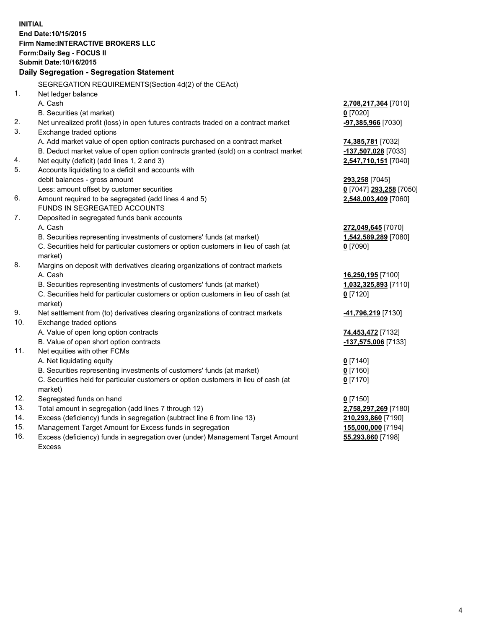**INITIAL End Date:10/15/2015 Firm Name:INTERACTIVE BROKERS LLC Form:Daily Seg - FOCUS II Submit Date:10/16/2015 Daily Segregation - Segregation Statement** SEGREGATION REQUIREMENTS(Section 4d(2) of the CEAct) 1. Net ledger balance A. Cash **2,708,217,364** [7010] B. Securities (at market) **0** [7020] 2. Net unrealized profit (loss) in open futures contracts traded on a contract market **-97,385,966** [7030] 3. Exchange traded options A. Add market value of open option contracts purchased on a contract market **74,385,781** [7032] B. Deduct market value of open option contracts granted (sold) on a contract market **-137,507,028** [7033] 4. Net equity (deficit) (add lines 1, 2 and 3) **2,547,710,151** [7040] 5. Accounts liquidating to a deficit and accounts with debit balances - gross amount **293,258** [7045] Less: amount offset by customer securities **0** [7047] **293,258** [7050] 6. Amount required to be segregated (add lines 4 and 5) **2,548,003,409** [7060] FUNDS IN SEGREGATED ACCOUNTS 7. Deposited in segregated funds bank accounts A. Cash **272,049,645** [7070] B. Securities representing investments of customers' funds (at market) **1,542,589,289** [7080] C. Securities held for particular customers or option customers in lieu of cash (at market) **0** [7090] 8. Margins on deposit with derivatives clearing organizations of contract markets A. Cash **16,250,195** [7100] B. Securities representing investments of customers' funds (at market) **1,032,325,893** [7110] C. Securities held for particular customers or option customers in lieu of cash (at market) **0** [7120] 9. Net settlement from (to) derivatives clearing organizations of contract markets **-41,796,219** [7130] 10. Exchange traded options A. Value of open long option contracts **74,453,472** [7132] B. Value of open short option contracts **-137,575,006** [7133] 11. Net equities with other FCMs A. Net liquidating equity **0** [7140] B. Securities representing investments of customers' funds (at market) **0** [7160] C. Securities held for particular customers or option customers in lieu of cash (at market) **0** [7170] 12. Segregated funds on hand **0** [7150] 13. Total amount in segregation (add lines 7 through 12) **2,758,297,269** [7180] 14. Excess (deficiency) funds in segregation (subtract line 6 from line 13) **210,293,860** [7190] 15. Management Target Amount for Excess funds in segregation **155,000,000** [7194] **55,293,860** [7198]

16. Excess (deficiency) funds in segregation over (under) Management Target Amount Excess